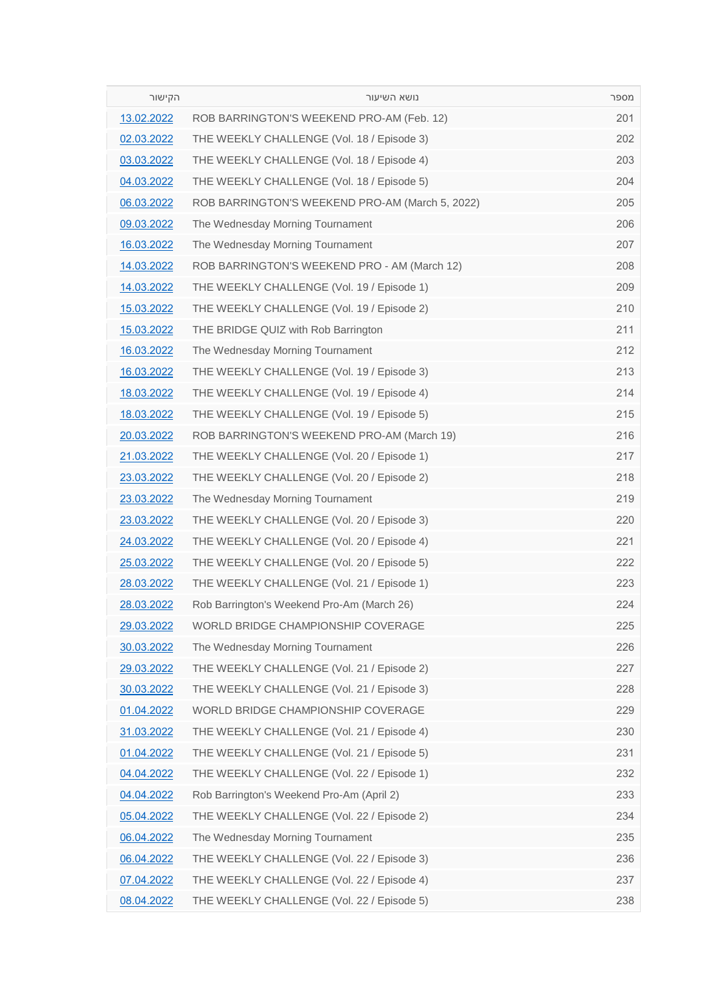| הקישור     | נושא השיעור                                     | מספר |
|------------|-------------------------------------------------|------|
| 13.02.2022 | ROB BARRINGTON'S WEEKEND PRO-AM (Feb. 12)       | 201  |
| 02.03.2022 | THE WEEKLY CHALLENGE (Vol. 18 / Episode 3)      | 202  |
| 03.03.2022 | THE WEEKLY CHALLENGE (Vol. 18 / Episode 4)      | 203  |
| 04.03.2022 | THE WEEKLY CHALLENGE (Vol. 18 / Episode 5)      | 204  |
| 06.03.2022 | ROB BARRINGTON'S WEEKEND PRO-AM (March 5, 2022) | 205  |
| 09.03.2022 | The Wednesday Morning Tournament                | 206  |
| 16.03.2022 | The Wednesday Morning Tournament                | 207  |
| 14.03.2022 | ROB BARRINGTON'S WEEKEND PRO - AM (March 12)    | 208  |
| 14.03.2022 | THE WEEKLY CHALLENGE (Vol. 19 / Episode 1)      | 209  |
| 15.03.2022 | THE WEEKLY CHALLENGE (Vol. 19 / Episode 2)      | 210  |
| 15.03.2022 | THE BRIDGE QUIZ with Rob Barrington             | 211  |
| 16.03.2022 | The Wednesday Morning Tournament                | 212  |
| 16.03.2022 | THE WEEKLY CHALLENGE (Vol. 19 / Episode 3)      | 213  |
| 18.03.2022 | THE WEEKLY CHALLENGE (Vol. 19 / Episode 4)      | 214  |
| 18.03.2022 | THE WEEKLY CHALLENGE (Vol. 19 / Episode 5)      | 215  |
| 20.03.2022 | ROB BARRINGTON'S WEEKEND PRO-AM (March 19)      | 216  |
| 21.03.2022 | THE WEEKLY CHALLENGE (Vol. 20 / Episode 1)      | 217  |
| 23.03.2022 | THE WEEKLY CHALLENGE (Vol. 20 / Episode 2)      | 218  |
| 23.03.2022 | The Wednesday Morning Tournament                | 219  |
| 23.03.2022 | THE WEEKLY CHALLENGE (Vol. 20 / Episode 3)      | 220  |
| 24.03.2022 | THE WEEKLY CHALLENGE (Vol. 20 / Episode 4)      | 221  |
| 25.03.2022 | THE WEEKLY CHALLENGE (Vol. 20 / Episode 5)      | 222  |
| 28.03.2022 | THE WEEKLY CHALLENGE (Vol. 21 / Episode 1)      | 223  |
| 28.03.2022 | Rob Barrington's Weekend Pro-Am (March 26)      | 224  |
| 29.03.2022 | WORLD BRIDGE CHAMPIONSHIP COVERAGE              | 225  |
| 30.03.2022 | The Wednesday Morning Tournament                | 226  |
| 29.03.2022 | THE WEEKLY CHALLENGE (Vol. 21 / Episode 2)      | 227  |
| 30.03.2022 | THE WEEKLY CHALLENGE (Vol. 21 / Episode 3)      | 228  |
| 01.04.2022 | WORLD BRIDGE CHAMPIONSHIP COVERAGE              | 229  |
| 31.03.2022 | THE WEEKLY CHALLENGE (Vol. 21 / Episode 4)      | 230  |
| 01.04.2022 | THE WEEKLY CHALLENGE (Vol. 21 / Episode 5)      | 231  |
| 04.04.2022 | THE WEEKLY CHALLENGE (Vol. 22 / Episode 1)      | 232  |
| 04.04.2022 | Rob Barrington's Weekend Pro-Am (April 2)       | 233  |
| 05.04.2022 | THE WEEKLY CHALLENGE (Vol. 22 / Episode 2)      | 234  |
| 06.04.2022 | The Wednesday Morning Tournament                | 235  |
| 06.04.2022 | THE WEEKLY CHALLENGE (Vol. 22 / Episode 3)      | 236  |
| 07.04.2022 | THE WEEKLY CHALLENGE (Vol. 22 / Episode 4)      | 237  |
| 08.04.2022 | THE WEEKLY CHALLENGE (Vol. 22 / Episode 5)      | 238  |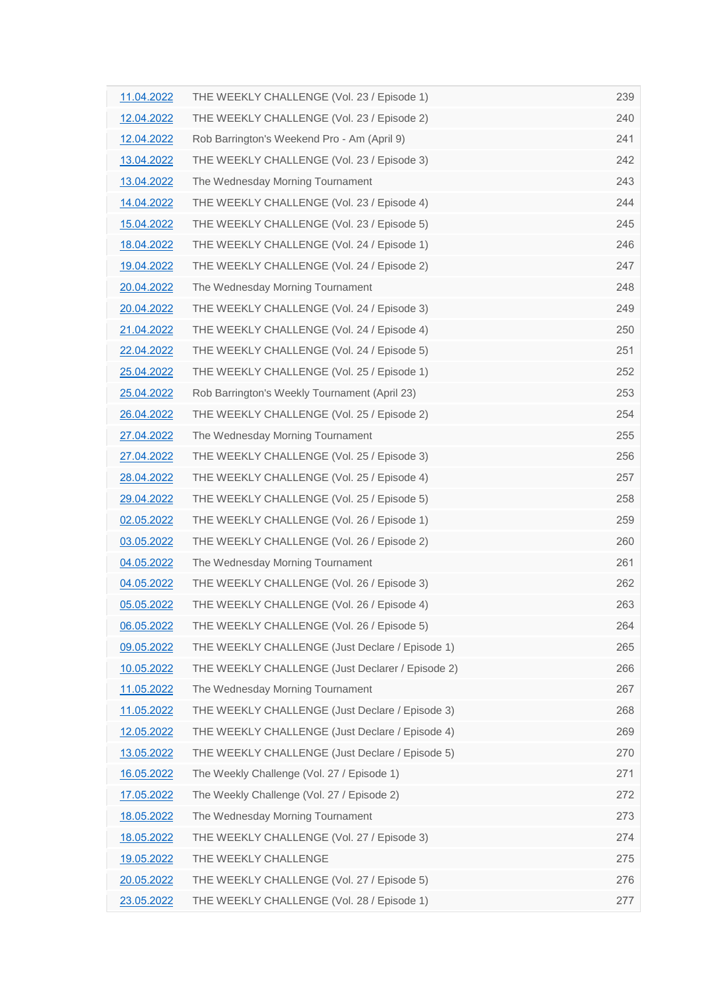| 11.04.2022 | THE WEEKLY CHALLENGE (Vol. 23 / Episode 1)       | 239 |
|------------|--------------------------------------------------|-----|
| 12.04.2022 | THE WEEKLY CHALLENGE (Vol. 23 / Episode 2)       | 240 |
| 12.04.2022 | Rob Barrington's Weekend Pro - Am (April 9)      | 241 |
| 13.04.2022 | THE WEEKLY CHALLENGE (Vol. 23 / Episode 3)       | 242 |
| 13.04.2022 | The Wednesday Morning Tournament                 | 243 |
| 14.04.2022 | THE WEEKLY CHALLENGE (Vol. 23 / Episode 4)       | 244 |
| 15.04.2022 | THE WEEKLY CHALLENGE (Vol. 23 / Episode 5)       | 245 |
| 18.04.2022 | THE WEEKLY CHALLENGE (Vol. 24 / Episode 1)       | 246 |
| 19.04.2022 | THE WEEKLY CHALLENGE (Vol. 24 / Episode 2)       | 247 |
| 20.04.2022 | The Wednesday Morning Tournament                 | 248 |
| 20.04.2022 | THE WEEKLY CHALLENGE (Vol. 24 / Episode 3)       | 249 |
| 21.04.2022 | THE WEEKLY CHALLENGE (Vol. 24 / Episode 4)       | 250 |
| 22.04.2022 | THE WEEKLY CHALLENGE (Vol. 24 / Episode 5)       | 251 |
| 25.04.2022 | THE WEEKLY CHALLENGE (Vol. 25 / Episode 1)       | 252 |
| 25.04.2022 | Rob Barrington's Weekly Tournament (April 23)    | 253 |
| 26.04.2022 | THE WEEKLY CHALLENGE (Vol. 25 / Episode 2)       | 254 |
| 27.04.2022 | The Wednesday Morning Tournament                 | 255 |
| 27.04.2022 | THE WEEKLY CHALLENGE (Vol. 25 / Episode 3)       | 256 |
| 28.04.2022 | THE WEEKLY CHALLENGE (Vol. 25 / Episode 4)       | 257 |
| 29.04.2022 | THE WEEKLY CHALLENGE (Vol. 25 / Episode 5)       | 258 |
| 02.05.2022 | THE WEEKLY CHALLENGE (Vol. 26 / Episode 1)       | 259 |
| 03.05.2022 | THE WEEKLY CHALLENGE (Vol. 26 / Episode 2)       | 260 |
| 04.05.2022 | The Wednesday Morning Tournament                 | 261 |
| 04.05.2022 | THE WEEKLY CHALLENGE (Vol. 26 / Episode 3)       | 262 |
| 05.05.2022 | THE WEEKLY CHALLENGE (Vol. 26 / Episode 4)       | 263 |
| 06.05.2022 | THE WEEKLY CHALLENGE (Vol. 26 / Episode 5)       | 264 |
| 09.05.2022 | THE WEEKLY CHALLENGE (Just Declare / Episode 1)  | 265 |
| 10.05.2022 | THE WEEKLY CHALLENGE (Just Declarer / Episode 2) | 266 |
| 11.05.2022 | The Wednesday Morning Tournament                 | 267 |
| 11.05.2022 | THE WEEKLY CHALLENGE (Just Declare / Episode 3)  | 268 |
| 12.05.2022 | THE WEEKLY CHALLENGE (Just Declare / Episode 4)  | 269 |
| 13.05.2022 | THE WEEKLY CHALLENGE (Just Declare / Episode 5)  | 270 |
| 16.05.2022 | The Weekly Challenge (Vol. 27 / Episode 1)       | 271 |
| 17.05.2022 | The Weekly Challenge (Vol. 27 / Episode 2)       | 272 |
| 18.05.2022 | The Wednesday Morning Tournament                 | 273 |
| 18.05.2022 | THE WEEKLY CHALLENGE (Vol. 27 / Episode 3)       | 274 |
| 19.05.2022 | THE WEEKLY CHALLENGE                             | 275 |
| 20.05.2022 | THE WEEKLY CHALLENGE (Vol. 27 / Episode 5)       | 276 |
| 23.05.2022 | THE WEEKLY CHALLENGE (Vol. 28 / Episode 1)       | 277 |